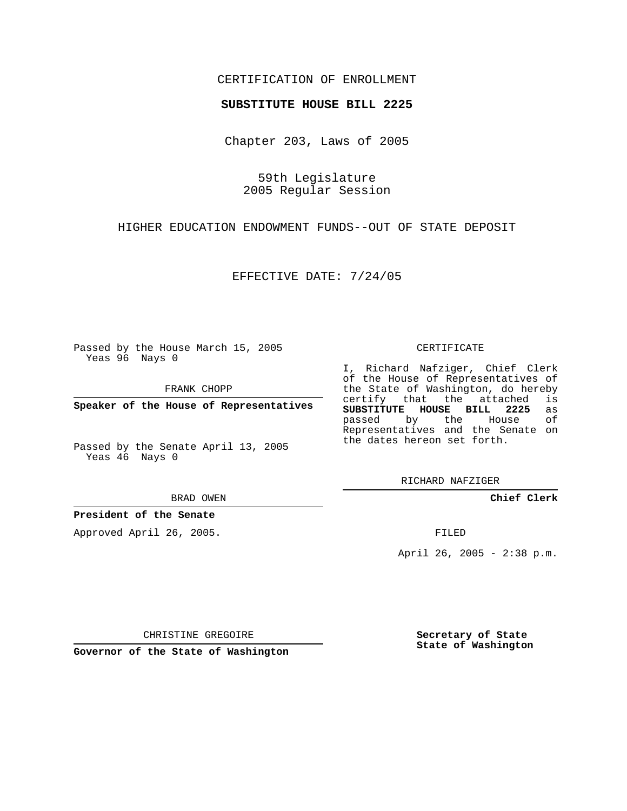## CERTIFICATION OF ENROLLMENT

## **SUBSTITUTE HOUSE BILL 2225**

Chapter 203, Laws of 2005

59th Legislature 2005 Regular Session

HIGHER EDUCATION ENDOWMENT FUNDS--OUT OF STATE DEPOSIT

EFFECTIVE DATE: 7/24/05

Passed by the House March 15, 2005 Yeas 96 Nays 0

FRANK CHOPP

**Speaker of the House of Representatives**

Passed by the Senate April 13, 2005 Yeas 46 Nays 0

BRAD OWEN

**President of the Senate**

Approved April 26, 2005.

CERTIFICATE

I, Richard Nafziger, Chief Clerk of the House of Representatives of the State of Washington, do hereby<br>certify that the attached is certify that the attached **SUBSTITUTE HOUSE BILL 2225** as passed by the Representatives and the Senate on the dates hereon set forth.

RICHARD NAFZIGER

**Chief Clerk**

FILED

April 26, 2005 - 2:38 p.m.

CHRISTINE GREGOIRE

**Governor of the State of Washington**

**Secretary of State State of Washington**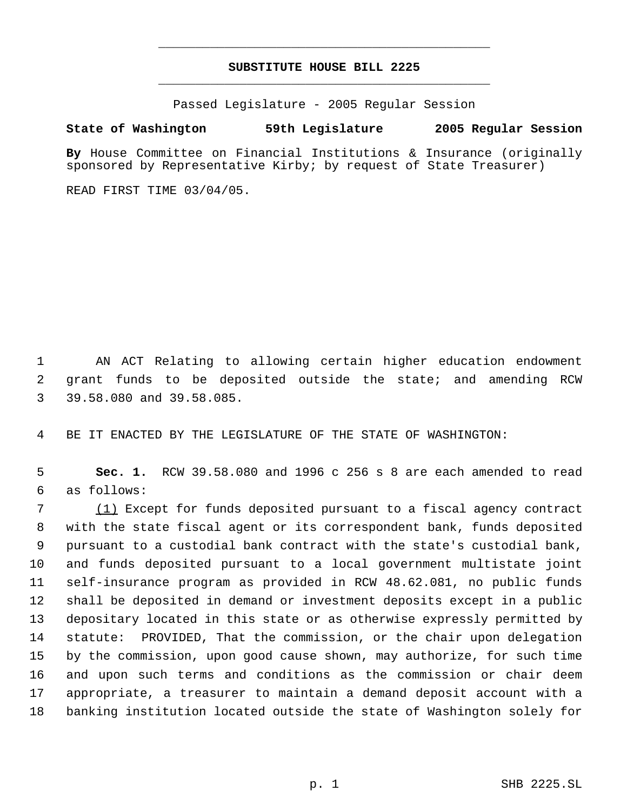## **SUBSTITUTE HOUSE BILL 2225** \_\_\_\_\_\_\_\_\_\_\_\_\_\_\_\_\_\_\_\_\_\_\_\_\_\_\_\_\_\_\_\_\_\_\_\_\_\_\_\_\_\_\_\_\_

\_\_\_\_\_\_\_\_\_\_\_\_\_\_\_\_\_\_\_\_\_\_\_\_\_\_\_\_\_\_\_\_\_\_\_\_\_\_\_\_\_\_\_\_\_

Passed Legislature - 2005 Regular Session

## **State of Washington 59th Legislature 2005 Regular Session**

**By** House Committee on Financial Institutions & Insurance (originally sponsored by Representative Kirby; by request of State Treasurer)

READ FIRST TIME 03/04/05.

 AN ACT Relating to allowing certain higher education endowment grant funds to be deposited outside the state; and amending RCW 39.58.080 and 39.58.085.

BE IT ENACTED BY THE LEGISLATURE OF THE STATE OF WASHINGTON:

 **Sec. 1.** RCW 39.58.080 and 1996 c 256 s 8 are each amended to read as follows:

 (1) Except for funds deposited pursuant to a fiscal agency contract with the state fiscal agent or its correspondent bank, funds deposited pursuant to a custodial bank contract with the state's custodial bank, and funds deposited pursuant to a local government multistate joint self-insurance program as provided in RCW 48.62.081, no public funds shall be deposited in demand or investment deposits except in a public depositary located in this state or as otherwise expressly permitted by statute: PROVIDED, That the commission, or the chair upon delegation by the commission, upon good cause shown, may authorize, for such time and upon such terms and conditions as the commission or chair deem appropriate, a treasurer to maintain a demand deposit account with a banking institution located outside the state of Washington solely for